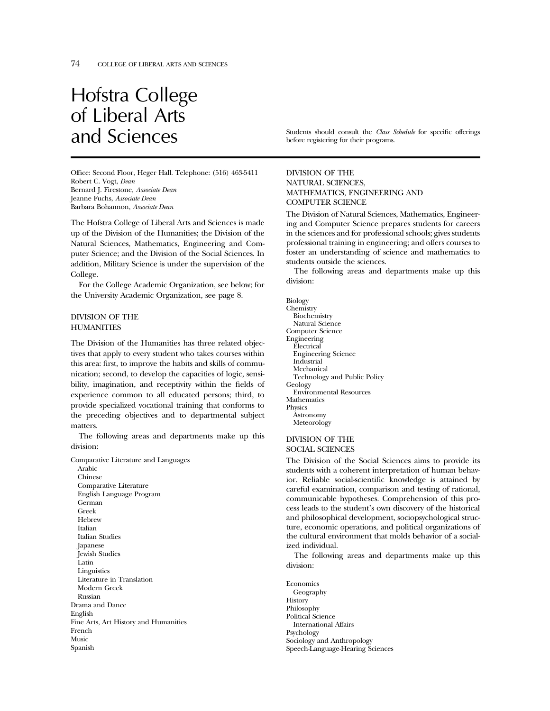# Hofstra College of Liberal Arts

Office: Second Floor, Heger Hall. Telephone: (516) 463-5411 Robert C. Vogt, *Dean* Bernard J. Firestone, *Associate Dean* Jeanne Fuchs, *Associate Dean* Barbara Bohannon, *Associate Dean*

The Hofstra College of Liberal Arts and Sciences is made up of the Division of the Humanities; the Division of the Natural Sciences, Mathematics, Engineering and Computer Science; and the Division of the Social Sciences. In addition, Military Science is under the supervision of the College.

For the College Academic Organization, see below; for the University Academic Organization, see page 8.

#### DIVISION OF THE **HUMANITIES**

The Division of the Humanities has three related objectives that apply to every student who takes courses within this area: first, to improve the habits and skills of communication; second, to develop the capacities of logic, sensibility, imagination, and receptivity within the fields of experience common to all educated persons; third, to provide specialized vocational training that conforms to the preceding objectives and to departmental subject matters.

The following areas and departments make up this division:

Comparative Literature and Languages Arabic Chinese Comparative Literature English Language Program German Greek Hebrew Italian Italian Studies Japanese Jewish Studies Latin Linguistics Literature in Translation Modern Greek Russian Drama and Dance English Fine Arts, Art History and Humanities French Music Spanish

and Sciences Students should consult the *Class Schedule* for specific offerings before registering for their programs.

#### DIVISION OF THE NATURAL SCIENCES, MATHEMATICS, ENGINEERING AND COMPUTER SCIENCE

The Division of Natural Sciences, Mathematics, Engineering and Computer Science prepares students for careers in the sciences and for professional schools; gives students professional training in engineering; and offers courses to foster an understanding of science and mathematics to students outside the sciences.

The following areas and departments make up this division:

Biology **Chemistry** Biochemistry Natural Science Computer Science Engineering Electrical Engineering Science Industrial Mechanical Technology and Public Policy Geology Environmental Resources Mathematics Physics **A**stronomy Meteorology

#### DIVISION OF THE SOCIAL SCIENCES

The Division of the Social Sciences aims to provide its students with a coherent interpretation of human behavior. Reliable social-scientific knowledge is attained by careful examination, comparison and testing of rational, communicable hypotheses. Comprehension of this process leads to the student's own discovery of the historical and philosophical development, sociopsychological structure, economic operations, and political organizations of the cultural environment that molds behavior of a socialized individual.

The following areas and departments make up this division:

Economics Geography History Philosophy Political Science International Affairs Psychology Sociology and Anthropology Speech-Language-Hearing Sciences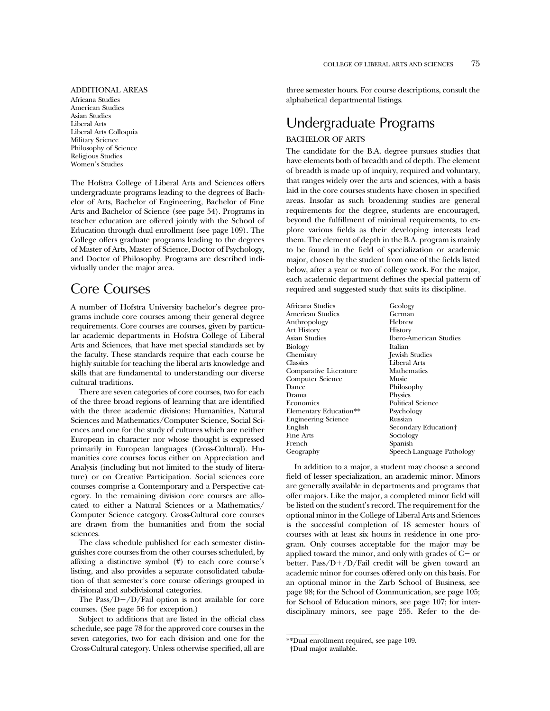#### ADDITIONAL AREAS

Africana Studies American Studies Asian Studies Liberal Arts Liberal Arts Colloquia Military Science Philosophy of Science Religious Studies Women's Studies

The Hofstra College of Liberal Arts and Sciences offers undergraduate programs leading to the degrees of Bachelor of Arts, Bachelor of Engineering, Bachelor of Fine Arts and Bachelor of Science (see page 54). Programs in teacher education are offered jointly with the School of Education through dual enrollment (see page 109). The College offers graduate programs leading to the degrees of Master of Arts, Master of Science, Doctor of Psychology, and Doctor of Philosophy. Programs are described individually under the major area.

# Core Courses

A number of Hofstra University bachelor's degree programs include core courses among their general degree requirements. Core courses are courses, given by particular academic departments in Hofstra College of Liberal Arts and Sciences, that have met special standards set by the faculty. These standards require that each course be highly suitable for teaching the liberal arts knowledge and skills that are fundamental to understanding our diverse cultural traditions.

There are seven categories of core courses, two for each of the three broad regions of learning that are identified with the three academic divisions: Humanities, Natural Sciences and Mathematics/Computer Science, Social Sciences and one for the study of cultures which are neither European in character nor whose thought is expressed primarily in European languages (Cross-Cultural). Humanities core courses focus either on Appreciation and Analysis (including but not limited to the study of literature) or on Creative Participation. Social sciences core courses comprise a Contemporary and a Perspective category. In the remaining division core courses are allocated to either a Natural Sciences or a Mathematics/ Computer Science category. Cross-Cultural core courses are drawn from the humanities and from the social sciences.

The class schedule published for each semester distinguishes core courses from the other courses scheduled, by affixing a distinctive symbol (#) to each core course's listing, and also provides a separate consolidated tabulation of that semester's core course offerings grouped in divisional and subdivisional categories.

The Pass/ $D+/D/Fail$  option is not available for core courses. (See page 56 for exception.)

Subject to additions that are listed in the official class schedule, see page 78 for the approved core courses in the seven categories, two for each division and one for the Cross-Cultural category. Unless otherwise specified, all are three semester hours. For course descriptions, consult the alphabetical departmental listings.

# Undergraduate Programs

#### BACHELOR OF ARTS

The candidate for the B.A. degree pursues studies that have elements both of breadth and of depth. The element of breadth is made up of inquiry, required and voluntary, that ranges widely over the arts and sciences, with a basis laid in the core courses students have chosen in specified areas. Insofar as such broadening studies are general requirements for the degree, students are encouraged, beyond the fulfillment of minimal requirements, to explore various fields as their developing interests lead them. The element of depth in the B.A. program is mainly to be found in the field of specialization or academic major, chosen by the student from one of the fields listed below, after a year or two of college work. For the major, each academic department defines the special pattern of required and suggested study that suits its discipline.

| Africana Studies       | Geology                       |
|------------------------|-------------------------------|
| American Studies       | German                        |
| Anthropology           | Hebrew                        |
| Art History            | History                       |
| Asian Studies          | <b>Ibero-American Studies</b> |
| Biology                | Italian                       |
| Chemistry              | <b>Jewish Studies</b>         |
| Classics               | Liberal Arts                  |
| Comparative Literature | Mathematics                   |
| Computer Science       | Music                         |
| Dance                  | Philosophy                    |
| Drama                  | Physics                       |
| Economics              | <b>Political Science</b>      |
| Elementary Education** | Psychology                    |
| Engineering Science    | Russian                       |
| English                | Secondary Education†          |
| Fine Arts              | Sociology                     |
| French                 | Spanish                       |
| Geography              | Speech-Language Pathology     |
|                        |                               |

In addition to a major, a student may choose a second field of lesser specialization, an academic minor. Minors are generally available in departments and programs that offer majors. Like the major, a completed minor field will be listed on the student's record. The requirement for the optional minor in the College of Liberal Arts and Sciences is the successful completion of 18 semester hours of courses with at least six hours in residence in one program. Only courses acceptable for the major may be applied toward the minor, and only with grades of  $C-$  or better. Pass/ $D+/D/F$ ail credit will be given toward an academic minor for courses offered only on this basis. For an optional minor in the Zarb School of Business, see page 98; for the School of Communication, see page 105; for School of Education minors, see page 107; for interdisciplinary minors, see page 255. Refer to the de-

<sup>\*\*</sup>Dual enrollment required, see page 109.

<sup>†</sup>Dual major available.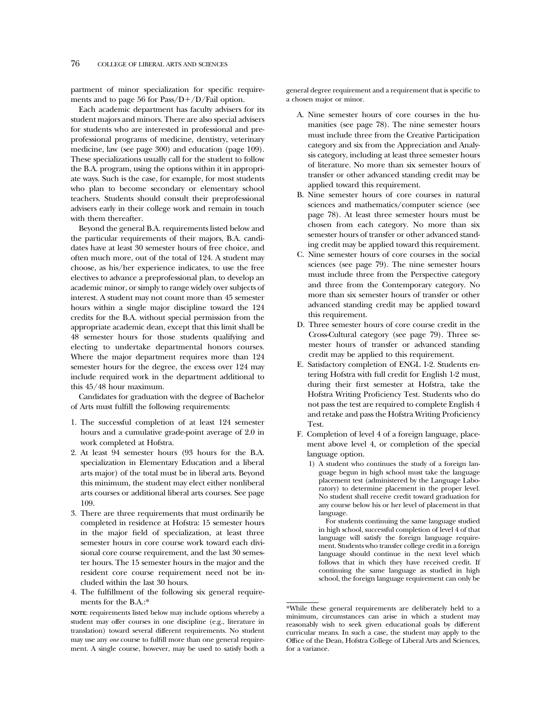partment of minor specialization for specific requirements and to page 56 for Pass/ $D+/D/F$ ail option.

Each academic department has faculty advisers for its student majors and minors. There are also special advisers for students who are interested in professional and preprofessional programs of medicine, dentistry, veterinary medicine, law (see page 300) and education (page 109). These specializations usually call for the student to follow the B.A. program, using the options within it in appropriate ways. Such is the case, for example, for most students who plan to become secondary or elementary school teachers. Students should consult their preprofessional advisers early in their college work and remain in touch with them thereafter.

Beyond the general B.A. requirements listed below and the particular requirements of their majors, B.A. candidates have at least 30 semester hours of free choice, and often much more, out of the total of 124. A student may choose, as his/her experience indicates, to use the free electives to advance a preprofessional plan, to develop an academic minor, or simply to range widely over subjects of interest. A student may not count more than 45 semester hours within a single major discipline toward the 124 credits for the B.A. without special permission from the appropriate academic dean, except that this limit shall be 48 semester hours for those students qualifying and electing to undertake departmental honors courses. Where the major department requires more than 124 semester hours for the degree, the excess over 124 may include required work in the department additional to this 45/48 hour maximum.

Candidates for graduation with the degree of Bachelor of Arts must fulfill the following requirements:

- 1. The successful completion of at least 124 semester hours and a cumulative grade-point average of 2.0 in work completed at Hofstra.
- 2. At least 94 semester hours (93 hours for the B.A. specialization in Elementary Education and a liberal arts major) of the total must be in liberal arts. Beyond this minimum, the student may elect either nonliberal arts courses or additional liberal arts courses. See page 109.
- 3. There are three requirements that must ordinarily be completed in residence at Hofstra: 15 semester hours in the major field of specialization, at least three semester hours in core course work toward each divisional core course requirement, and the last 30 semester hours. The 15 semester hours in the major and the resident core course requirement need not be included within the last 30 hours.
- 4. The fulfillment of the following six general requirements for the B.A.:\*

**NOTE**: requirements listed below may include options whereby a student may offer courses in one discipline (e.g., literature in translation) toward several different requirements. No student may use any *one* course to fulfill more than one general requirement. A single course, however, may be used to satisfy both a

general degree requirement and a requirement that is specific to a chosen major or minor.

- A. Nine semester hours of core courses in the humanities (see page 78). The nine semester hours must include three from the Creative Participation category and six from the Appreciation and Analysis category, including at least three semester hours of literature. No more than six semester hours of transfer or other advanced standing credit may be applied toward this requirement.
- B. Nine semester hours of core courses in natural sciences and mathematics/computer science (see page 78). At least three semester hours must be chosen from each category. No more than six semester hours of transfer or other advanced standing credit may be applied toward this requirement.
- C. Nine semester hours of core courses in the social sciences (see page 79). The nine semester hours must include three from the Perspective category and three from the Contemporary category. No more than six semester hours of transfer or other advanced standing credit may be applied toward this requirement.
- D. Three semester hours of core course credit in the Cross-Cultural category (see page 79). Three semester hours of transfer or advanced standing credit may be applied to this requirement.
- E. Satisfactory completion of ENGL 1-2. Students entering Hofstra with full credit for English 1-2 must, during their first semester at Hofstra, take the Hofstra Writing Proficiency Test. Students who do not pass the test are required to complete English 4 and retake and pass the Hofstra Writing Proficiency Test.
- F. Completion of level 4 of a foreign language, placement above level 4, or completion of the special language option.
	- 1) A student who continues the study of a foreign language begun in high school must take the language placement test (administered by the Language Laboratory) to determine placement in the proper level. No student shall receive credit toward graduation for any course below his or her level of placement in that language.

For students continuing the same language studied in high school, successful completion of level 4 of that language will satisfy the foreign language requirement. Students who transfer college credit in a foreign language should continue in the next level which follows that in which they have received credit. If continuing the same language as studied in high school, the foreign language requirement can only be

<sup>\*</sup>While these general requirements are deliberately held to a minimum, circumstances can arise in which a student may reasonably wish to seek given educational goals by different curricular means. In such a case, the student may apply to the Office of the Dean, Hofstra College of Liberal Arts and Sciences, for a variance.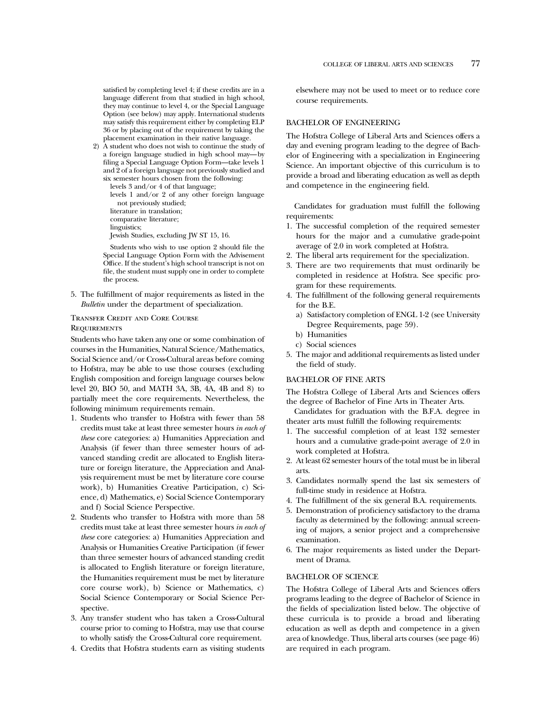satisfied by completing level 4; if these credits are in a language different from that studied in high school, they may continue to level 4, or the Special Language Option (see below) may apply. International students may satisfy this requirement either by completing ELP 36 or by placing out of the requirement by taking the placement examination in their native language.

2) A student who does not wish to continue the study of a foreign language studied in high school may—by filing a Special Language Option Form—take levels 1 and 2 of a foreign language not previously studied and six semester hours chosen from the following:

levels 3 and/or 4 of that language; levels 1 and/or 2 of any other foreign language not previously studied; literature in translation; comparative literature; linguistics; Jewish Studies, excluding JW ST 15, 16.

Students who wish to use option 2 should file the Special Language Option Form with the Advisement Office. If the student's high school transcript is not on file, the student must supply one in order to complete the process.

5. The fulfillment of major requirements as listed in the *Bulletin* under the department of specialization.

### Transfer Credit and Core Course

**REQUIREMENTS** 

Students who have taken any one or some combination of courses in the Humanities, Natural Science/Mathematics, Social Science and/or Cross-Cultural areas before coming to Hofstra, may be able to use those courses (excluding English composition and foreign language courses below level 20, BIO 50, and MATH 3A, 3B, 4A, 4B and 8) to partially meet the core requirements. Nevertheless, the following minimum requirements remain.

- 1. Students who transfer to Hofstra with fewer than 58 credits must take at least three semester hours *in each of these* core categories: a) Humanities Appreciation and Analysis (if fewer than three semester hours of advanced standing credit are allocated to English literature or foreign literature, the Appreciation and Analysis requirement must be met by literature core course work), b) Humanities Creative Participation, c) Science, d) Mathematics, e) Social Science Contemporary and f) Social Science Perspective.
- 2. Students who transfer to Hofstra with more than 58 credits must take at least three semester hours *in each of these* core categories: a) Humanities Appreciation and Analysis or Humanities Creative Participation (if fewer than three semester hours of advanced standing credit is allocated to English literature or foreign literature, the Humanities requirement must be met by literature core course work), b) Science or Mathematics, c) Social Science Contemporary or Social Science Perspective.
- 3. Any transfer student who has taken a Cross-Cultural course prior to coming to Hofstra, may use that course to wholly satisfy the Cross-Cultural core requirement.
- 4. Credits that Hofstra students earn as visiting students

elsewhere may not be used to meet or to reduce core course requirements.

#### BACHELOR OF ENGINEERING

The Hofstra College of Liberal Arts and Sciences offers a day and evening program leading to the degree of Bachelor of Engineering with a specialization in Engineering Science. An important objective of this curriculum is to provide a broad and liberating education as well as depth and competence in the engineering field.

Candidates for graduation must fulfill the following requirements:

- 1. The successful completion of the required semester hours for the major and a cumulative grade-point average of 2.0 in work completed at Hofstra.
- 2. The liberal arts requirement for the specialization.
- 3. There are two requirements that must ordinarily be completed in residence at Hofstra. See specific program for these requirements.
- 4. The fulfillment of the following general requirements for the B.E.
	- a) Satisfactory completion of ENGL 1-2 (see University Degree Requirements, page 59).
	- b) Humanities
	- c) Social sciences
- 5. The major and additional requirements as listed under the field of study.

#### BACHELOR OF FINE ARTS

The Hofstra College of Liberal Arts and Sciences offers the degree of Bachelor of Fine Arts in Theater Arts.

Candidates for graduation with the B.F.A. degree in theater arts must fulfill the following requirements:

- 1. The successful completion of at least 132 semester hours and a cumulative grade-point average of 2.0 in work completed at Hofstra.
- 2. At least 62 semester hours of the total must be in liberal arts.
- 3. Candidates normally spend the last six semesters of full-time study in residence at Hofstra.
- 4. The fulfillment of the six general B.A. requirements.
- 5. Demonstration of proficiency satisfactory to the drama faculty as determined by the following: annual screening of majors, a senior project and a comprehensive examination.
- 6. The major requirements as listed under the Department of Drama.

#### BACHELOR OF SCIENCE

The Hofstra College of Liberal Arts and Sciences offers programs leading to the degree of Bachelor of Science in the fields of specialization listed below. The objective of these curricula is to provide a broad and liberating education as well as depth and competence in a given area of knowledge. Thus, liberal arts courses (see page 46) are required in each program.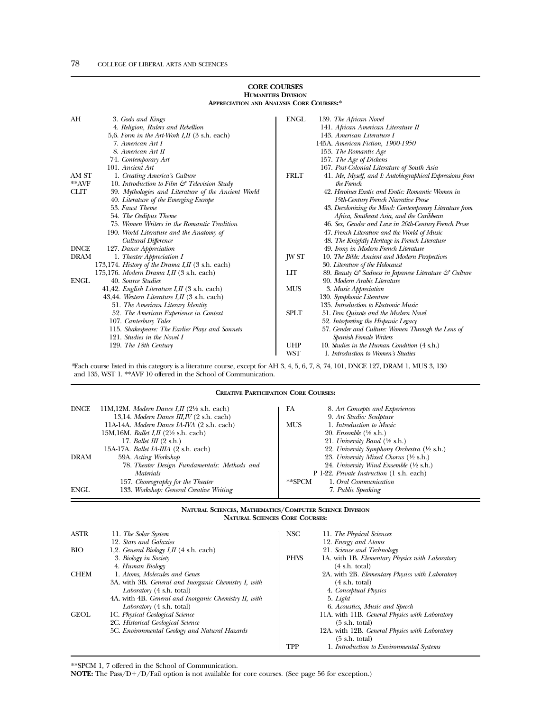#### **CORE COURSES HUMANITIES DIVISION APPRECIATION AND ANALYSIS CORE COURSES:\***

| AH          | 3. Gods and Kings                                             | <b>ENGL</b> | 139. The African Novel                                   |
|-------------|---------------------------------------------------------------|-------------|----------------------------------------------------------|
|             | 4. Religion, Rulers and Rebellion                             |             | 141. African American Literature II                      |
|             | 5,6. Form in the Art-Work I, II (3 s.h. each)                 |             | 143. American Literature I                               |
|             | 7. American Art I                                             |             | 145A. American Fiction, 1900-1950                        |
|             | 8. American Art II                                            |             | 153. The Romantic Age                                    |
|             | 74. Contemporary Art                                          |             | 157. The Age of Dickens                                  |
|             | 101. Ancient Art                                              |             | 167. Post-Colonial Literature of South Asia              |
| AM ST       | 1. Creating America's Culture                                 | <b>FRLT</b> | 41. Me, Myself, and I: Autobiographical Expressions from |
| $*$ *AVF    | 10. Introduction to Film $\mathcal{C}$ Television Study       |             | the French                                               |
| <b>CLIT</b> | 39. Mythologies and Literature of the Ancient World           |             | 42. Heroines Exotic and Erotic: Romantic Women in        |
|             | 40. Literature of the Emerging Europe                         |             | 19th-Century French Narrative Prose                      |
|             | 53. Faust Theme                                               |             | 43. Decolonizing the Mind: Contemporary Literature from  |
|             | 54. The Oedipus Theme                                         |             | Africa, Southeast Asia, and the Caribbean                |
|             | 75. Women Writers in the Romantic Tradition                   |             | 46. Sex, Gender and Love in 20th-Century French Prose    |
|             | 190. World Literature and the Anatomy of                      |             | 47. French Literature and the World of Music             |
|             | Cultural Difference                                           |             | 48. The Knightly Heritage in French Literature           |
| <b>DNCE</b> | 127. Dance Appreciation                                       |             | 49. Irony in Modern French Literature                    |
| <b>DRAM</b> | 1. Theater Appreciation I                                     | JW ST       | 10. The Bible: Ancient and Modern Perspectives           |
|             | 173,174. History of the Drama I, II $(3 \text{ s.h. each})$   |             | 30. Literature of the Holocaust                          |
|             | 175,176. Modern Drama I, II $(3 \text{ s.h. each})$           | LIТ         | 89. Beauty & Sadness in Japanese Literature & Culture    |
| <b>ENGL</b> | 40. Source Studies                                            |             | 90. Modern Arabic Literature                             |
|             | 41,42. <i>English Literature I,II</i> $(3 \text{ s.h. each})$ | <b>MUS</b>  | 3. Music Appreciation                                    |
|             | 43,44. Western Literature I,II (3 s.h. each)                  |             | 130. Symphonic Literature                                |
|             | 51. The American Literary Identity                            |             | 135. Introduction to Electronic Music                    |
|             | 52. The American Experience in Context                        | <b>SPLT</b> | 51. Don Quixote and the Modern Novel                     |
|             | 107. Canterbury Tales                                         |             | 52. Interpreting the Hispanic Legacy                     |
|             | 115. Shakespeare: The Earlier Plays and Sonnets               |             | 57. Gender and Culture: Women Through the Lens of        |
|             | 121. Studies in the Novel I                                   |             | Spanish Female Writers                                   |
|             | 129. The 18th Century                                         | <b>UHP</b>  | 10. Studies in the Human Condition (4 s.h.)              |
|             |                                                               | WST         | 1. Introduction to Women's Studies                       |

*\**Each course listed in this category is a literature course, except for AH 3, 4, 5, 6, 7, 8, 74, 101, DNCE 127, DRAM 1, MUS 3, 130 and 135, WST 1. \*\*AVF 10 offered in the School of Communication.

#### **CREATIVE PARTICIPATION CORE COURSES:**

| <b>DNCE</b> | 11M,12M. Modern Dance I,II $(2\frac{1}{2}$ s.h. each)<br>13,14. Modern Dance III, IV $(2 \text{ s.h. each})$ | 8. Art Concepts and Experiences<br>FA<br>9. Art Studio: Sculpture |  |
|-------------|--------------------------------------------------------------------------------------------------------------|-------------------------------------------------------------------|--|
|             | 11A-14A. Modern Dance IA-IVA (2 s.h. each)                                                                   | 1. Introduction to Music<br><b>MUS</b>                            |  |
|             | 15M, 16M. <i>Ballet I, II</i> ( $2\frac{1}{2}$ s.h. each)                                                    | 20. Ensemble $(\frac{1}{2}$ s.h.)                                 |  |
|             | 17. Ballet III $(2 \text{ s.h.})$                                                                            | 21. University Band $(\frac{1}{2}$ s.h.)                          |  |
|             | 15A-17A. Ballet IA-IIIA (2 s.h. each)                                                                        | 22. University Symphony Orchestra (1/2 s.h.)                      |  |
| <b>DRAM</b> | 59A. Acting Workshop                                                                                         | 23. University Mixed Chorus $(\frac{1}{2}$ s.h.)                  |  |
|             | 78. Theater Design Fundamentals: Methods and                                                                 | 24. University Wind Ensemble $(\frac{1}{2}$ s.h.)                 |  |
|             | <i>Materials</i>                                                                                             | P 1-22. Private Instruction (1 s.h. each)                         |  |
|             | 157. Choreography for the Theater                                                                            | 1. Oral Communication<br>**SPCM                                   |  |
| ENGL        | 133. Workshop: General Creative Writing                                                                      | 7. Public Speaking                                                |  |

#### **NATURAL SCIENCES, MATHEMATICS/COMPUTER SCIENCE DIVISION NATURAL SCIENCES CORE COURSES:**

| <b>ASTR</b> | 11. The Solar System                                  | NSC         | 11. The Physical Sciences                       |
|-------------|-------------------------------------------------------|-------------|-------------------------------------------------|
|             | 12. Stars and Galaxies                                |             | 12. Energy and Atoms                            |
| <b>BIO</b>  | 1,2. General Biology I, II $(4 \text{ s.h. each})$    |             | 21. Science and Technology                      |
|             | 3. Biology in Society                                 | <b>PHYS</b> | 1A. with 1B. Elementary Physics with Laboratory |
|             | 4. Human Biology                                      |             | $(4 \text{ s.h. total})$                        |
| <b>CHEM</b> | 1. Atoms, Molecules and Genes                         |             | 2A. with 2B. Elementary Physics with Laboratory |
|             | 3A. with 3B. General and Inorganic Chemistry I, with  |             | $(4 \text{ s.h. total})$                        |
|             | Laboratory (4 s.h. total)                             |             | 4. Conceptual Physics                           |
|             | 4A. with 4B. General and Inorganic Chemistry II, with |             | 5. Light                                        |
|             | Laboratory (4 s.h. total)                             |             | 6. Acoustics, Music and Speech                  |
| <b>GEOL</b> | 1C. Physical Geological Science                       |             | 11A. with 11B. General Physics with Laboratory  |
|             | 2C. Historical Geological Science                     |             | $(5 \text{ s.h. total})$                        |
|             | 5C. Environmental Geology and Natural Hazards         |             | 12A. with 12B. General Physics with Laboratory  |
|             |                                                       |             | $(5 \text{ s.h. total})$                        |
|             |                                                       | TPP         | 1. Introduction to Environmental Systems        |

\*\*SPCM 1, 7 offered in the School of Communication.

**NOTE:** The Pass/D+/D/Fail option is not available for core courses. (See page 56 for exception.)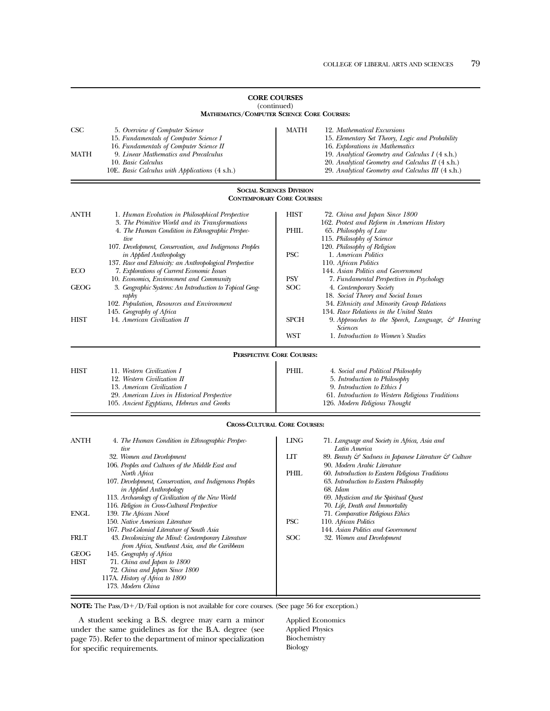|                    | <b>MATHEMATICS/COMPUTER SCIENCE CORE COURSES:</b>                                                                                                                                                                                                                                                                                                        |                                 |                                                                                                                                                                                                                                                                                                                                               |  |
|--------------------|----------------------------------------------------------------------------------------------------------------------------------------------------------------------------------------------------------------------------------------------------------------------------------------------------------------------------------------------------------|---------------------------------|-----------------------------------------------------------------------------------------------------------------------------------------------------------------------------------------------------------------------------------------------------------------------------------------------------------------------------------------------|--|
| <b>CSC</b><br>MATH | 5. Overview of Computer Science<br>15. Fundamentals of Computer Science I<br>16. Fundamentals of Computer Science II<br>9. Linear Mathematics and Precalculus<br>10. Basic Calculus<br>10E. Basic Calculus with Applications (4 s.h.)                                                                                                                    | MATH                            | 12. Mathematical Excursions<br>15. Elementary Set Theory, Logic and Probability<br>16. Explorations in Mathematics<br>19. Analytical Geometry and Calculus I (4 s.h.)<br>20. Analytical Geometry and Calculus II (4 s.h.)<br>29. Analytical Geometry and Calculus III (4 s.h.)                                                                |  |
|                    | <b>CONTEMPORARY CORE COURSES:</b>                                                                                                                                                                                                                                                                                                                        | <b>SOCIAL SCIENCES DIVISION</b> |                                                                                                                                                                                                                                                                                                                                               |  |
| ANTH               | 1. Human Evolution in Philosophical Perspective<br>3. The Primitive World and its Transformations<br>4. The Human Condition in Ethnographic Perspec-<br>tive<br>107. Development, Conservation, and Indigenous Peoples                                                                                                                                   | <b>HIST</b><br>PHIL             | 72. China and Japan Since 1800<br>162. Protest and Reform in American History<br>65. Philosophy of Law<br>115. Philosophy of Science<br>120. Philosophy of Religion                                                                                                                                                                           |  |
| ECO                | <i>in Applied Anthropology</i><br>137. Race and Ethnicity: an Anthropological Perspective<br>7. Explorations of Current Economic Issues                                                                                                                                                                                                                  | <b>PSC</b>                      | 1. American Politics<br>110. African Politics<br>144. Asian Politics and Government                                                                                                                                                                                                                                                           |  |
| GEOG               | 10. Economics, Environment and Community<br>3. Geographic Systems: An Introduction to Topical Geog-<br>raphy<br>102. Population, Resources and Environment                                                                                                                                                                                               | PSY<br>SOC                      | 7. Fundamental Perspectives in Psychology<br>4. Contemporary Society<br>18. Social Theory and Social Issues<br>34. Ethnicity and Minority Group Relations                                                                                                                                                                                     |  |
| HIST               | 145. Geography of Africa<br>14. American Civilization II                                                                                                                                                                                                                                                                                                 | <b>SPCH</b><br>WST              | 134. Race Relations in the United States<br>9. Approaches to the Speech, Language, $\mathcal{C}$ Hearing<br>Sciences<br>1. Introduction to Women's Studies                                                                                                                                                                                    |  |
|                    | PERSPECTIVE CORE COURSES:                                                                                                                                                                                                                                                                                                                                |                                 |                                                                                                                                                                                                                                                                                                                                               |  |
| HIST               | 11. Western Civilization I<br>12. Western Civilization II<br>13. American Civilization I<br>29. American Lives in Historical Perspective<br>105. Ancient Egyptians, Hebrews and Greeks                                                                                                                                                                   | PHIL                            | 4. Social and Political Philosophy<br>5. Introduction to Philosophy<br>9. Introduction to Ethics I<br>61. Introduction to Western Religious Traditions<br>126. Modern Religious Thought                                                                                                                                                       |  |
|                    | <b>CROSS-CULTURAL CORE COURSES:</b>                                                                                                                                                                                                                                                                                                                      |                                 |                                                                                                                                                                                                                                                                                                                                               |  |
| ANTH               | 4. The Human Condition in Ethnographic Perspec-<br>tive<br>32. Women and Development<br>106. Peoples and Cultures of the Middle East and<br>North Africa<br>107. Development, Conservation, and Indigenous Peoples<br><i>in Applied Anthropology</i><br>113. Archaeology of Civilization of the New World<br>116. Religion in Cross-Cultural Perspective | <b>LING</b><br>LIТ<br>PHIL      | 71. Language and Society in Africa, Asia and<br>Latin America<br>89. Beauty & Sadness in Japanese Literature & Culture<br>90. Modern Arabic Literature<br>60. Introduction to Eastern Religious Traditions<br>63. Introduction to Eastern Philosophy<br>68. Islam<br>69. Mysticism and the Spiritual Quest<br>70. Life, Death and Immortality |  |
| ENGL               | 139. The African Novel<br>150. Native American Literature<br>167. Post-Colonial Literature of South Asia                                                                                                                                                                                                                                                 | PSC                             | 71. Comparative Religious Ethics<br>110. African Politics<br>144. Asian Politics and Government                                                                                                                                                                                                                                               |  |
| FRLT               | 43. Decolonizing the Mind: Contemporary Literature<br>from Africa, Southeast Asia, and the Caribbean                                                                                                                                                                                                                                                     | SOC                             | 32. Women and Development                                                                                                                                                                                                                                                                                                                     |  |
| GEOG<br>HIST       | 145. Geography of Africa<br>71. China and Japan to 1800<br>72. China and Japan Since 1800<br>117A. History of Africa to 1800<br>173. Modern China                                                                                                                                                                                                        |                                 |                                                                                                                                                                                                                                                                                                                                               |  |

## **CORE COURSES** (continued)

 $\bold{NOTE:}$  The Pass/D+/D/Fail option is not available for core courses. (See page 56 for exception.)

A student seeking a B.S. degree may earn a minor under the same guidelines as for the B.A. degree (see page 75). Refer to the department of minor specialization for specific requirements.

Applied Economics Applied Physics Biochemistry Biology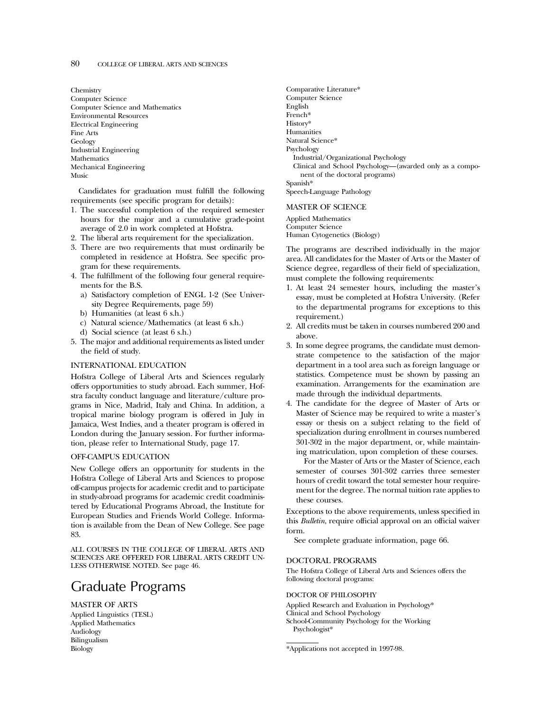Chemistry Computer Science Computer Science and Mathematics Environmental Resources Electrical Engineering Fine Arts Geology Industrial Engineering Mathematics Mechanical Engineering Music

Candidates for graduation must fulfill the following requirements (see specific program for details):

- 1. The successful completion of the required semester hours for the major and a cumulative grade-point average of 2.0 in work completed at Hofstra.
- 2. The liberal arts requirement for the specialization.
- 3. There are two requirements that must ordinarily be completed in residence at Hofstra. See specific program for these requirements.
- 4. The fulfillment of the following four general requirements for the B.S.
	- a) Satisfactory completion of ENGL 1-2 (See University Degree Requirements, page 59)
	- b) Humanities (at least 6 s.h.)
	- c) Natural science/Mathematics (at least 6 s.h.)
	- d) Social science (at least 6 s.h.)
- 5. The major and additional requirements as listed under the field of study.

#### INTERNATIONAL EDUCATION

Hofstra College of Liberal Arts and Sciences regularly offers opportunities to study abroad. Each summer, Hofstra faculty conduct language and literature/culture programs in Nice, Madrid, Italy and China. In addition, a tropical marine biology program is offered in July in Jamaica, West Indies, and a theater program is offered in London during the January session. For further information, please refer to International Study, page 17.

#### OFF-CAMPUS EDUCATION

New College offers an opportunity for students in the Hofstra College of Liberal Arts and Sciences to propose off-campus projects for academic credit and to participate in study-abroad programs for academic credit coadministered by Educational Programs Abroad, the Institute for European Studies and Friends World College. Information is available from the Dean of New College. See page 83.

ALL COURSES IN THE COLLEGE OF LIBERAL ARTS AND SCIENCES ARE OFFERED FOR LIBERAL ARTS CREDIT UN-LESS OTHERWISE NOTED. See page 46.

# Graduate Programs

MASTER OF ARTS

Applied Linguistics (TESL) Applied Mathematics Audiology Bilingualism Biology

Comparative Literature\* Computer Science English French\* History\* Humanities Natural Science\* Psychology Industrial/Organizational Psychology Clinical and School Psychology—(awarded only as a component of the doctoral programs) Spanish\* Speech-Language Pathology

#### MASTER OF SCIENCE

Applied Mathematics Computer Science Human Cytogenetics (Biology)

The programs are described individually in the major area. All candidates for the Master of Arts or the Master of Science degree, regardless of their field of specialization, must complete the following requirements:

- 1. At least 24 semester hours, including the master's essay, must be completed at Hofstra University. (Refer to the departmental programs for exceptions to this requirement.)
- 2. All credits must be taken in courses numbered 200 and above.
- 3. In some degree programs, the candidate must demonstrate competence to the satisfaction of the major department in a tool area such as foreign language or statistics. Competence must be shown by passing an examination. Arrangements for the examination are made through the individual departments.
- 4. The candidate for the degree of Master of Arts or Master of Science may be required to write a master's essay or thesis on a subject relating to the field of specialization during enrollment in courses numbered 301-302 in the major department, or, while maintaining matriculation, upon completion of these courses.

For the Master of Arts or the Master of Science, each semester of courses 301-302 carries three semester hours of credit toward the total semester hour requirement for the degree. The normal tuition rate applies to these courses.

Exceptions to the above requirements, unless specified in this *Bulletin*, require official approval on an official waiver form.

See complete graduate information, page 66.

#### DOCTORAL PROGRAMS

The Hofstra College of Liberal Arts and Sciences offers the following doctoral programs:

#### DOCTOR OF PHILOSOPHY

Applied Research and Evaluation in Psychology\* Clinical and School Psychology School-Community Psychology for the Working Psychologist\*

<sup>\*</sup>Applications not accepted in 1997-98.